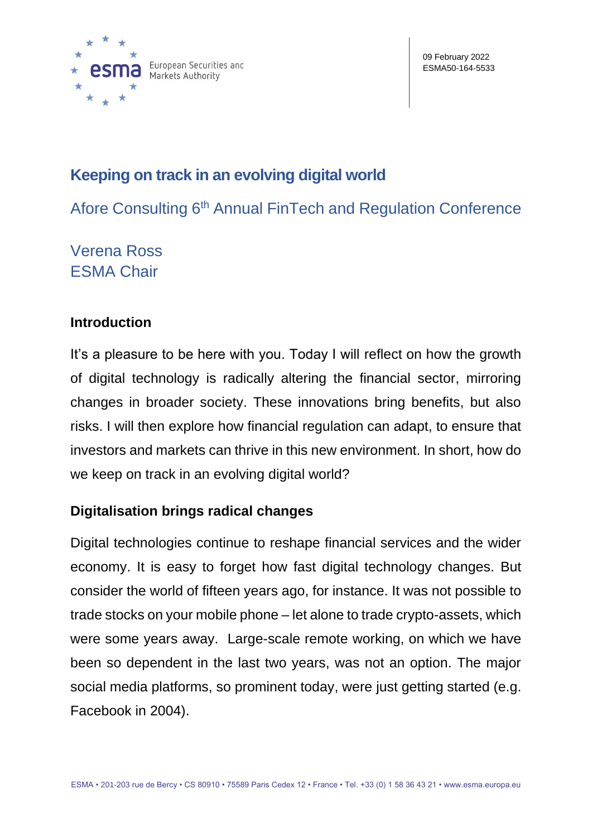

09 February 2022 ESMA50-164-5533

# **Keeping on track in an evolving digital world**

Afore Consulting 6<sup>th</sup> Annual FinTech and Regulation Conference

Verena Ross ESMA Chair

## **Introduction**

It's a pleasure to be here with you. Today I will reflect on how the growth of digital technology is radically altering the financial sector, mirroring changes in broader society. These innovations bring benefits, but also risks. I will then explore how financial regulation can adapt, to ensure that investors and markets can thrive in this new environment. In short, how do we keep on track in an evolving digital world?

# **Digitalisation brings radical changes**

Digital technologies continue to reshape financial services and the wider economy. It is easy to forget how fast digital technology changes. But consider the world of fifteen years ago, for instance. It was not possible to trade stocks on your mobile phone – let alone to trade crypto-assets, which were some years away. Large-scale remote working, on which we have been so dependent in the last two years, was not an option. The major social media platforms, so prominent today, were just getting started (e.g. Facebook in 2004).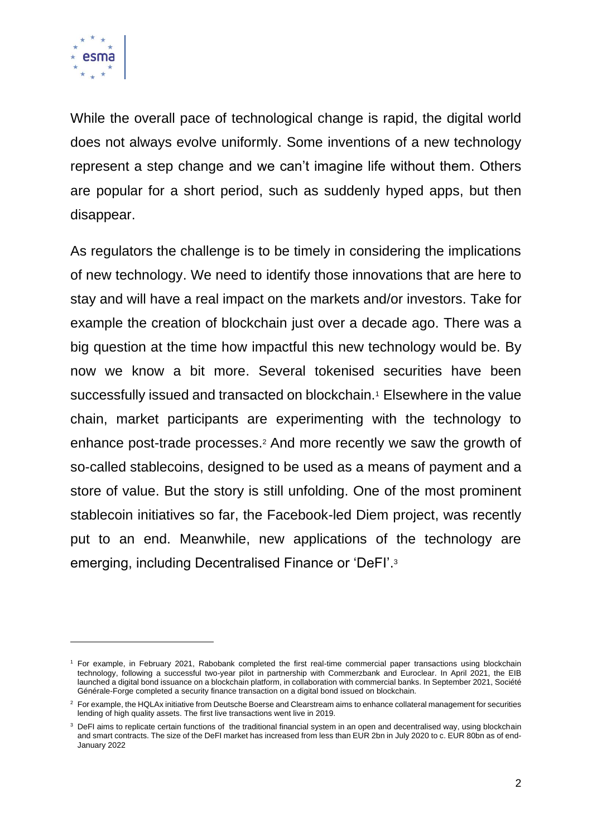

While the overall pace of technological change is rapid, the digital world does not always evolve uniformly. Some inventions of a new technology represent a step change and we can't imagine life without them. Others are popular for a short period, such as suddenly hyped apps, but then disappear.

As regulators the challenge is to be timely in considering the implications of new technology. We need to identify those innovations that are here to stay and will have a real impact on the markets and/or investors. Take for example the creation of blockchain just over a decade ago. There was a big question at the time how impactful this new technology would be. By now we know a bit more. Several tokenised securities have been successfully issued and transacted on blockchain.<sup>1</sup> Elsewhere in the value chain, market participants are experimenting with the technology to enhance post-trade processes.<sup>2</sup> And more recently we saw the growth of so-called stablecoins, designed to be used as a means of payment and a store of value. But the story is still unfolding. One of the most prominent stablecoin initiatives so far, the Facebook-led Diem project, was recently put to an end. Meanwhile, new applications of the technology are emerging, including Decentralised Finance or 'DeFI'. 3

<sup>1</sup> For example, in February 2021, Rabobank completed the first real-time commercial paper transactions using blockchain technology, following a successful two-year pilot in partnership with Commerzbank and Euroclear. In April 2021, the EIB launched a digital bond issuance on a blockchain platform, in collaboration with commercial banks. In September 2021, Société Générale-Forge completed a security finance transaction on a digital bond issued on blockchain.

<sup>&</sup>lt;sup>2</sup> For example, the HQLAx initiative from Deutsche Boerse and Clearstream aims to enhance collateral management for securities lending of high quality assets. The first live transactions went live in 2019.

<sup>&</sup>lt;sup>3</sup> DeFI aims to replicate certain functions of the traditional financial system in an open and decentralised way, using blockchain and smart contracts. The size of the DeFI market has increased from less than EUR 2bn in July 2020 to c. EUR 80bn as of end-January 2022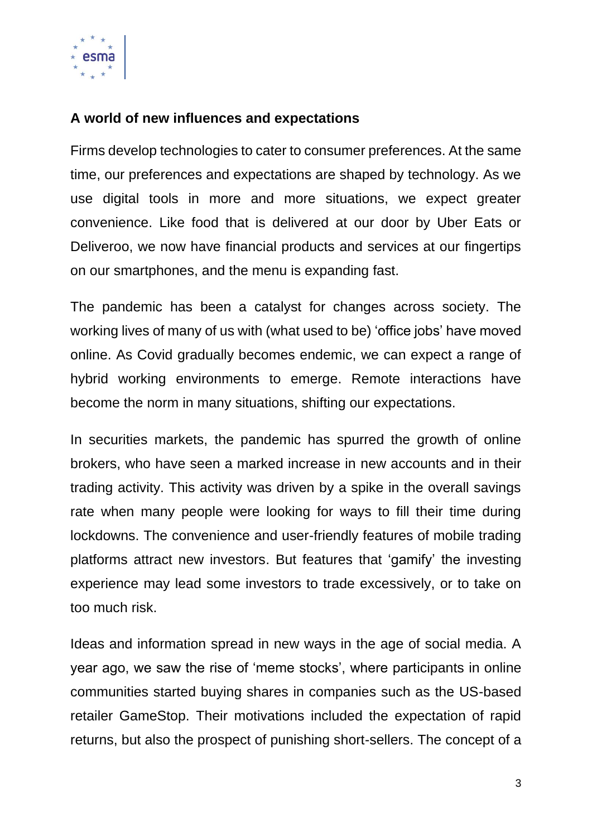

### **A world of new influences and expectations**

Firms develop technologies to cater to consumer preferences. At the same time, our preferences and expectations are shaped by technology. As we use digital tools in more and more situations, we expect greater convenience. Like food that is delivered at our door by Uber Eats or Deliveroo, we now have financial products and services at our fingertips on our smartphones, and the menu is expanding fast.

The pandemic has been a catalyst for changes across society. The working lives of many of us with (what used to be) 'office jobs' have moved online. As Covid gradually becomes endemic, we can expect a range of hybrid working environments to emerge. Remote interactions have become the norm in many situations, shifting our expectations.

In securities markets, the pandemic has spurred the growth of online brokers, who have seen a marked increase in new accounts and in their trading activity. This activity was driven by a spike in the overall savings rate when many people were looking for ways to fill their time during lockdowns. The convenience and user-friendly features of mobile trading platforms attract new investors. But features that 'gamify' the investing experience may lead some investors to trade excessively, or to take on too much risk.

Ideas and information spread in new ways in the age of social media. A year ago, we saw the rise of 'meme stocks', where participants in online communities started buying shares in companies such as the US-based retailer GameStop. Their motivations included the expectation of rapid returns, but also the prospect of punishing short-sellers. The concept of a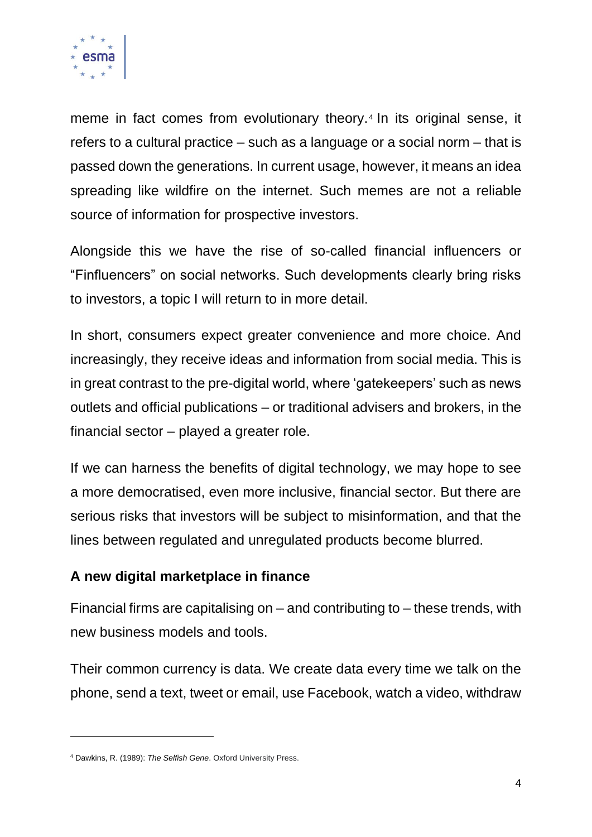

meme in fact comes from evolutionary theory.<sup>4</sup> In its original sense, it refers to a cultural practice – such as a language or a social norm – that is passed down the generations. In current usage, however, it means an idea spreading like wildfire on the internet. Such memes are not a reliable source of information for prospective investors.

Alongside this we have the rise of so-called financial influencers or "Finfluencers" on social networks. Such developments clearly bring risks to investors, a topic I will return to in more detail.

In short, consumers expect greater convenience and more choice. And increasingly, they receive ideas and information from social media. This is in great contrast to the pre-digital world, where 'gatekeepers' such as news outlets and official publications – or traditional advisers and brokers, in the financial sector – played a greater role.

If we can harness the benefits of digital technology, we may hope to see a more democratised, even more inclusive, financial sector. But there are serious risks that investors will be subject to misinformation, and that the lines between regulated and unregulated products become blurred.

### **A new digital marketplace in finance**

Financial firms are capitalising on – and contributing to – these trends, with new business models and tools.

Their common currency is data. We create data every time we talk on the phone, send a text, tweet or email, use Facebook, watch a video, withdraw

<sup>4</sup> Dawkins, R. (1989): *The Selfish Gene*. Oxford University Press.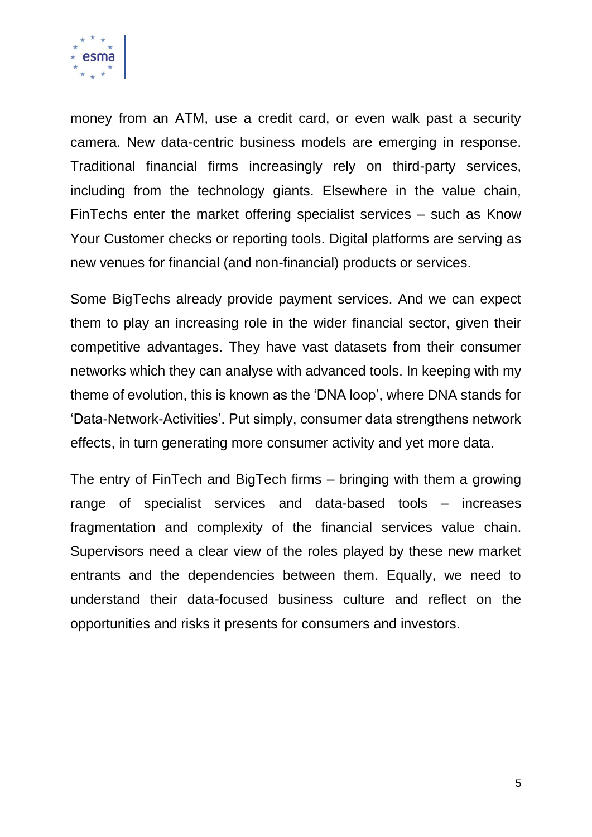

money from an ATM, use a credit card, or even walk past a security camera. New data-centric business models are emerging in response. Traditional financial firms increasingly rely on third-party services, including from the technology giants. Elsewhere in the value chain, FinTechs enter the market offering specialist services – such as Know Your Customer checks or reporting tools. Digital platforms are serving as new venues for financial (and non-financial) products or services.

Some BigTechs already provide payment services. And we can expect them to play an increasing role in the wider financial sector, given their competitive advantages. They have vast datasets from their consumer networks which they can analyse with advanced tools. In keeping with my theme of evolution, this is known as the 'DNA loop', where DNA stands for 'Data-Network-Activities'. Put simply, consumer data strengthens network effects, in turn generating more consumer activity and yet more data.

The entry of FinTech and BigTech firms – bringing with them a growing range of specialist services and data-based tools – increases fragmentation and complexity of the financial services value chain. Supervisors need a clear view of the roles played by these new market entrants and the dependencies between them. Equally, we need to understand their data-focused business culture and reflect on the opportunities and risks it presents for consumers and investors.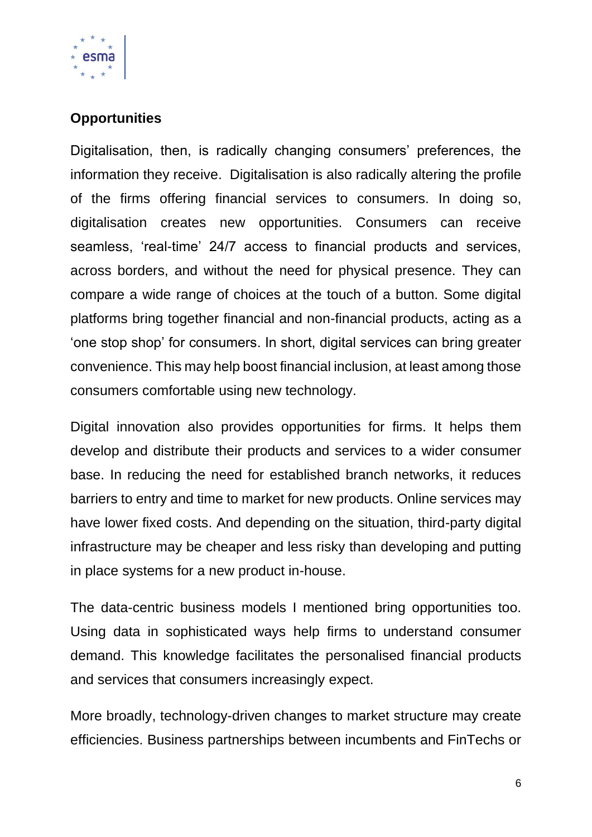

# **Opportunities**

Digitalisation, then, is radically changing consumers' preferences, the information they receive. Digitalisation is also radically altering the profile of the firms offering financial services to consumers. In doing so, digitalisation creates new opportunities. Consumers can receive seamless, 'real-time' 24/7 access to financial products and services, across borders, and without the need for physical presence. They can compare a wide range of choices at the touch of a button. Some digital platforms bring together financial and non-financial products, acting as a 'one stop shop' for consumers. In short, digital services can bring greater convenience. This may help boost financial inclusion, at least among those consumers comfortable using new technology.

Digital innovation also provides opportunities for firms. It helps them develop and distribute their products and services to a wider consumer base. In reducing the need for established branch networks, it reduces barriers to entry and time to market for new products. Online services may have lower fixed costs. And depending on the situation, third-party digital infrastructure may be cheaper and less risky than developing and putting in place systems for a new product in-house.

The data-centric business models I mentioned bring opportunities too. Using data in sophisticated ways help firms to understand consumer demand. This knowledge facilitates the personalised financial products and services that consumers increasingly expect.

More broadly, technology-driven changes to market structure may create efficiencies. Business partnerships between incumbents and FinTechs or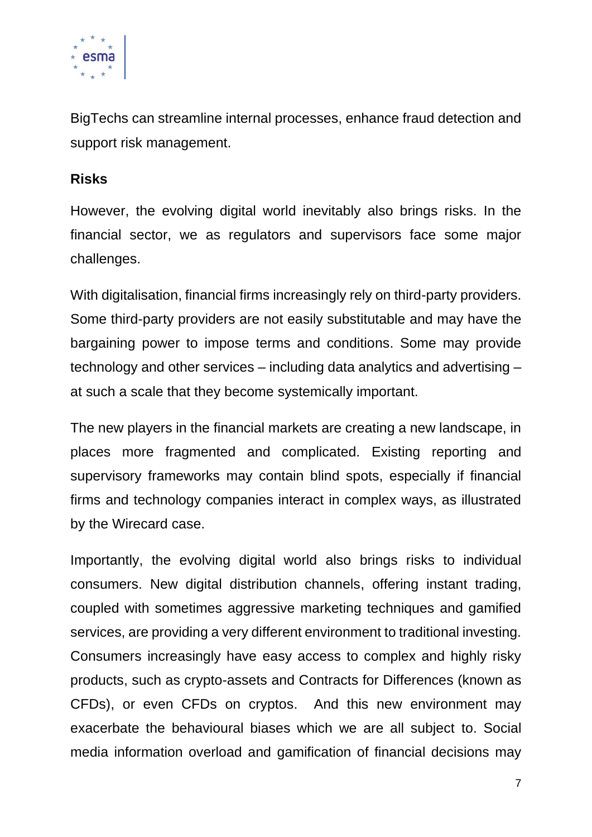

BigTechs can streamline internal processes, enhance fraud detection and support risk management.

#### **Risks**

However, the evolving digital world inevitably also brings risks. In the financial sector, we as regulators and supervisors face some major challenges.

With digitalisation, financial firms increasingly rely on third-party providers. Some third-party providers are not easily substitutable and may have the bargaining power to impose terms and conditions. Some may provide technology and other services – including data analytics and advertising – at such a scale that they become systemically important.

The new players in the financial markets are creating a new landscape, in places more fragmented and complicated. Existing reporting and supervisory frameworks may contain blind spots, especially if financial firms and technology companies interact in complex ways, as illustrated by the Wirecard case.

Importantly, the evolving digital world also brings risks to individual consumers. New digital distribution channels, offering instant trading, coupled with sometimes aggressive marketing techniques and gamified services, are providing a very different environment to traditional investing. Consumers increasingly have easy access to complex and highly risky products, such as crypto-assets and Contracts for Differences (known as CFDs), or even CFDs on cryptos. And this new environment may exacerbate the behavioural biases which we are all subject to. Social media information overload and gamification of financial decisions may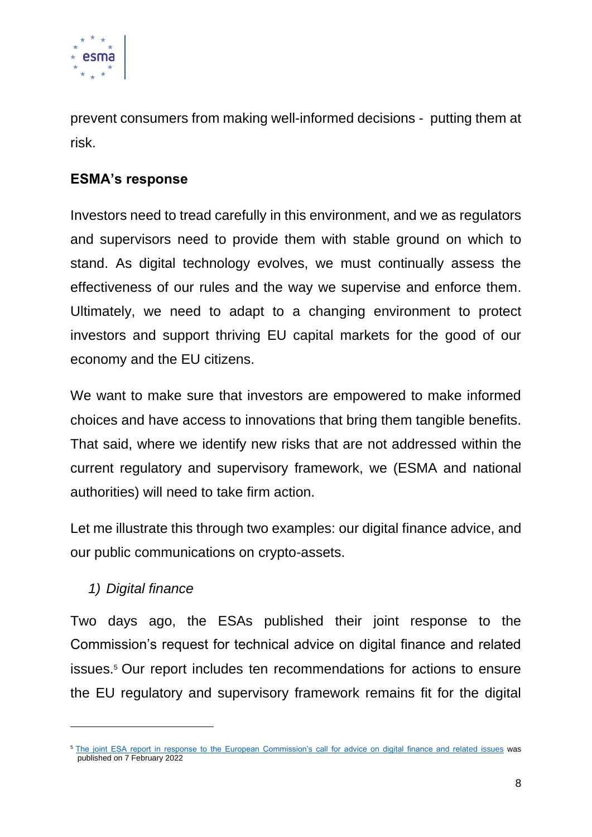

prevent consumers from making well-informed decisions - putting them at risk.

# **ESMA's response**

Investors need to tread carefully in this environment, and we as regulators and supervisors need to provide them with stable ground on which to stand. As digital technology evolves, we must continually assess the effectiveness of our rules and the way we supervise and enforce them. Ultimately, we need to adapt to a changing environment to protect investors and support thriving EU capital markets for the good of our economy and the EU citizens.

We want to make sure that investors are empowered to make informed choices and have access to innovations that bring them tangible benefits. That said, where we identify new risks that are not addressed within the current regulatory and supervisory framework, we (ESMA and national authorities) will need to take firm action.

Let me illustrate this through two examples: our digital finance advice, and our public communications on crypto-assets.

# *1) Digital finance*

Two days ago, the ESAs published their joint response to the Commission's request for technical advice on digital finance and related issues.<sup>5</sup> Our report includes ten recommendations for actions to ensure the EU regulatory and supervisory framework remains fit for the digital

<sup>&</sup>lt;sup>5</sup> [The joint ESA report in response to the European Commission's call for advice on digital finance and related issues](https://www.esma.europa.eu/press-news/esma-news/esas-recommend-actions-ensure-eu%E2%80%99s-regulatory-and-supervisory-framework-remains) was published on 7 February 2022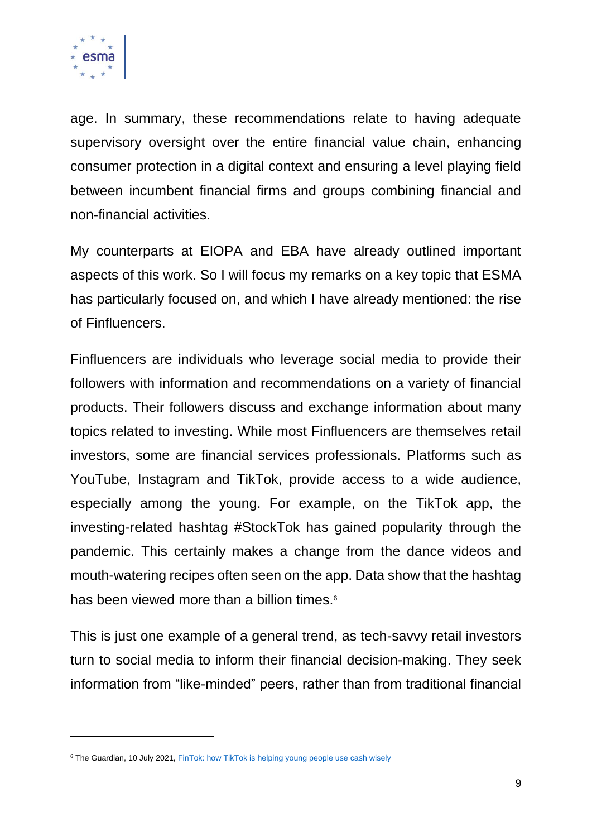

age. In summary, these recommendations relate to having adequate supervisory oversight over the entire financial value chain, enhancing consumer protection in a digital context and ensuring a level playing field between incumbent financial firms and groups combining financial and non-financial activities.

My counterparts at EIOPA and EBA have already outlined important aspects of this work. So I will focus my remarks on a key topic that ESMA has particularly focused on, and which I have already mentioned: the rise of Finfluencers.

Finfluencers are individuals who leverage social media to provide their followers with information and recommendations on a variety of financial products. Their followers discuss and exchange information about many topics related to investing. While most Finfluencers are themselves retail investors, some are financial services professionals. Platforms such as YouTube, Instagram and TikTok, provide access to a wide audience, especially among the young. For example, on the TikTok app, the investing-related hashtag #StockTok has gained popularity through the pandemic. This certainly makes a change from the dance videos and mouth-watering recipes often seen on the app. Data show that the hashtag has been viewed more than a billion times.<sup>6</sup>

This is just one example of a general trend, as tech-savvy retail investors turn to social media to inform their financial decision-making. They seek information from "like-minded" peers, rather than from traditional financial

<sup>&</sup>lt;sup>6</sup> The Guardian, 10 July 2021, [FinTok: how TikTok is helping young people use cash wisely](https://www.theguardian.com/money/2021/jul/10/fintok-how-tiktok-is-helping-young-people-use-cash-wisely)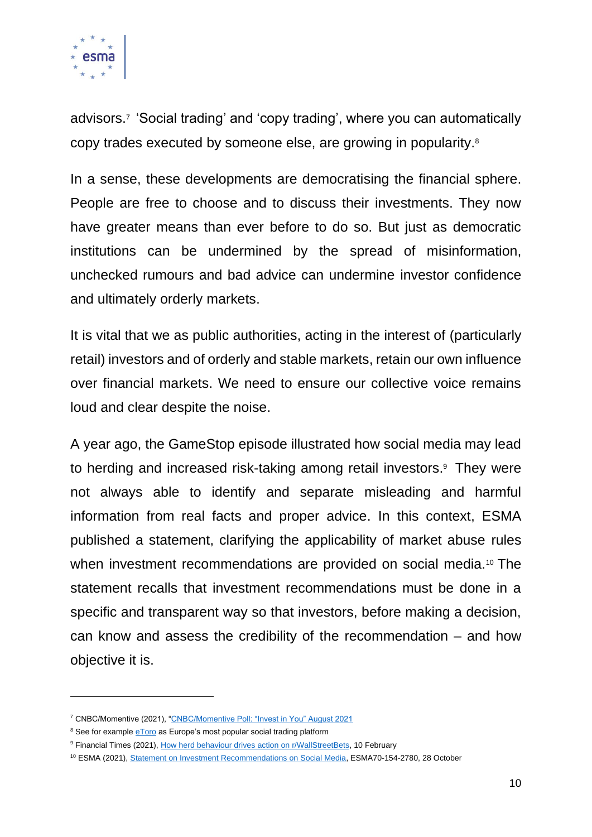

advisors.<sup>7</sup> 'Social trading' and 'copy trading', where you can automatically copy trades executed by someone else, are growing in popularity.<sup>8</sup>

In a sense, these developments are democratising the financial sphere. People are free to choose and to discuss their investments. They now have greater means than ever before to do so. But just as democratic institutions can be undermined by the spread of misinformation, unchecked rumours and bad advice can undermine investor confidence and ultimately orderly markets.

It is vital that we as public authorities, acting in the interest of (particularly retail) investors and of orderly and stable markets, retain our own influence over financial markets. We need to ensure our collective voice remains loud and clear despite the noise.

A year ago, the GameStop episode illustrated how social media may lead to herding and increased risk-taking among retail investors. <sup>9</sup> They were not always able to identify and separate misleading and harmful information from real facts and proper advice. In this context, ESMA published a statement, clarifying the applicability of market abuse rules when investment recommendations are provided on social media.<sup>10</sup> The statement recalls that investment recommendations must be done in a specific and transparent way so that investors, before making a decision, can know and assess the credibility of the recommendation – and how objective it is.

<sup>7</sup> CNBC/Momentive (2021), ["CNBC/Momentive Poll: "Invest in You" August 2021](https://www.surveymonkey.com/curiosity/cnbc-invest-in-you-august-2021/)

<sup>&</sup>lt;sup>8</sup> See for example **eToro** as Europe's most popular social trading platform

<sup>&</sup>lt;sup>9</sup> Financial Times (2021)[, How herd behaviour drives action on r/WallStreetBets,](https://www.ft.com/content/971df303-726a-4bdf-93eb-9a9e848f7109) 10 February

<sup>10</sup> ESMA (2021), [Statement on Investment Recommendations on Social Media,](https://www.esma.europa.eu/sites/default/files/library/esma70-154-2780_esmas_statement_on_investment_recommendations_on_social_media.pdf) ESMA70-154-2780, 28 October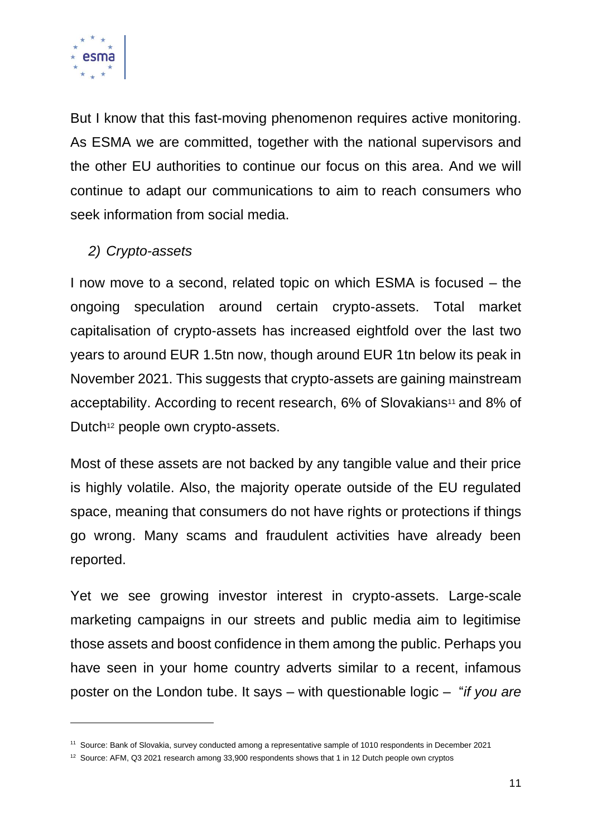

But I know that this fast-moving phenomenon requires active monitoring. As ESMA we are committed, together with the national supervisors and the other EU authorities to continue our focus on this area. And we will continue to adapt our communications to aim to reach consumers who seek information from social media.

### *2) Crypto-assets*

I now move to a second, related topic on which ESMA is focused – the ongoing speculation around certain crypto-assets. Total market capitalisation of crypto-assets has increased eightfold over the last two years to around EUR 1.5tn now, though around EUR 1tn below its peak in November 2021. This suggests that crypto-assets are gaining mainstream acceptability. According to recent research, 6% of Slovakians<sup>11</sup> and 8% of Dutch<sup>12</sup> people own crypto-assets.

Most of these assets are not backed by any tangible value and their price is highly volatile. Also, the majority operate outside of the EU regulated space, meaning that consumers do not have rights or protections if things go wrong. Many scams and fraudulent activities have already been reported.

Yet we see growing investor interest in crypto-assets. Large-scale marketing campaigns in our streets and public media aim to legitimise those assets and boost confidence in them among the public. Perhaps you have seen in your home country adverts similar to a recent, infamous poster on the London tube. It says – with questionable logic – "*if you are* 

<sup>11</sup> Source: Bank of Slovakia, survey conducted among a representative sample of 1010 respondents in December 2021

<sup>&</sup>lt;sup>12</sup> Source: AFM, Q3 2021 research among 33,900 respondents shows that 1 in 12 Dutch people own cryptos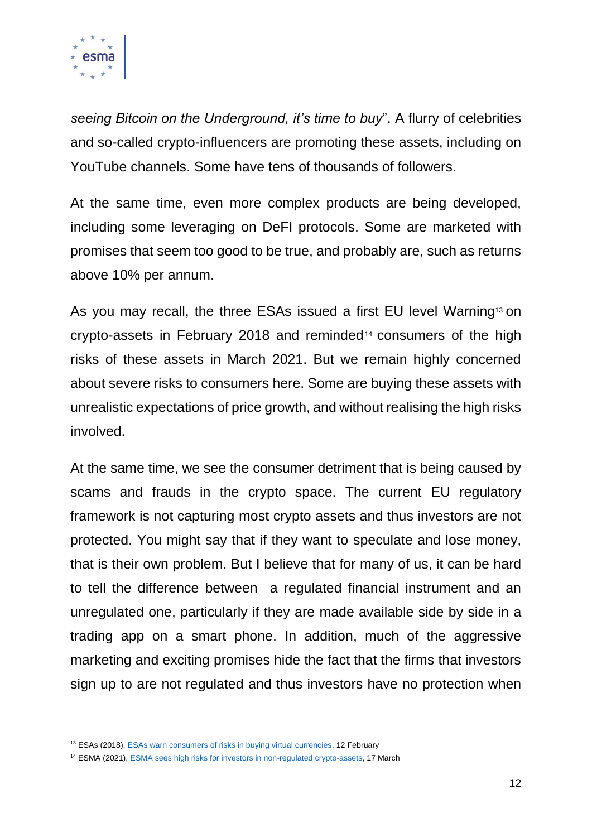

*seeing Bitcoin on the Underground, it's time to buy*". A flurry of celebrities and so-called crypto-influencers are promoting these assets, including on YouTube channels. Some have tens of thousands of followers.

At the same time, even more complex products are being developed, including some leveraging on DeFI protocols. Some are marketed with promises that seem too good to be true, and probably are, such as returns above 10% per annum.

As you may recall, the three ESAs issued a first EU level Warning<sup>13</sup> on crypto-assets in February 2018 and reminded<sup>14</sup> consumers of the high risks of these assets in March 2021. But we remain highly concerned about severe risks to consumers here. Some are buying these assets with unrealistic expectations of price growth, and without realising the high risks involved.

At the same time, we see the consumer detriment that is being caused by scams and frauds in the crypto space. The current EU regulatory framework is not capturing most crypto assets and thus investors are not protected. You might say that if they want to speculate and lose money, that is their own problem. But I believe that for many of us, it can be hard to tell the difference between a regulated financial instrument and an unregulated one, particularly if they are made available side by side in a trading app on a smart phone. In addition, much of the aggressive marketing and exciting promises hide the fact that the firms that investors sign up to are not regulated and thus investors have no protection when

<sup>&</sup>lt;sup>13</sup> ESAs (2018)[, ESAs warn consumers of risks in buying virtual currencies,](https://www.esma.europa.eu/press-news/esma-news/esas-warn-consumers-risks-in-buying-virtual-currencies) 12 February

<sup>&</sup>lt;sup>14</sup> ESMA (2021), **ESMA** sees high risks for investors in non-regulated crypto-assets, 17 March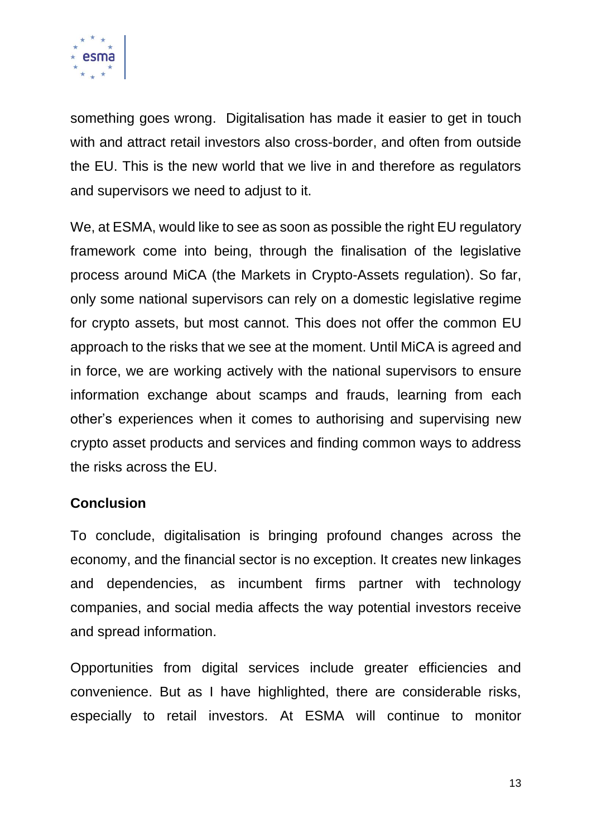

something goes wrong. Digitalisation has made it easier to get in touch with and attract retail investors also cross-border, and often from outside the EU. This is the new world that we live in and therefore as regulators and supervisors we need to adjust to it.

We, at ESMA, would like to see as soon as possible the right EU regulatory framework come into being, through the finalisation of the legislative process around MiCA (the Markets in Crypto-Assets regulation). So far, only some national supervisors can rely on a domestic legislative regime for crypto assets, but most cannot. This does not offer the common EU approach to the risks that we see at the moment. Until MiCA is agreed and in force, we are working actively with the national supervisors to ensure information exchange about scamps and frauds, learning from each other's experiences when it comes to authorising and supervising new crypto asset products and services and finding common ways to address the risks across the EU.

### **Conclusion**

To conclude, digitalisation is bringing profound changes across the economy, and the financial sector is no exception. It creates new linkages and dependencies, as incumbent firms partner with technology companies, and social media affects the way potential investors receive and spread information.

Opportunities from digital services include greater efficiencies and convenience. But as I have highlighted, there are considerable risks, especially to retail investors. At ESMA will continue to monitor